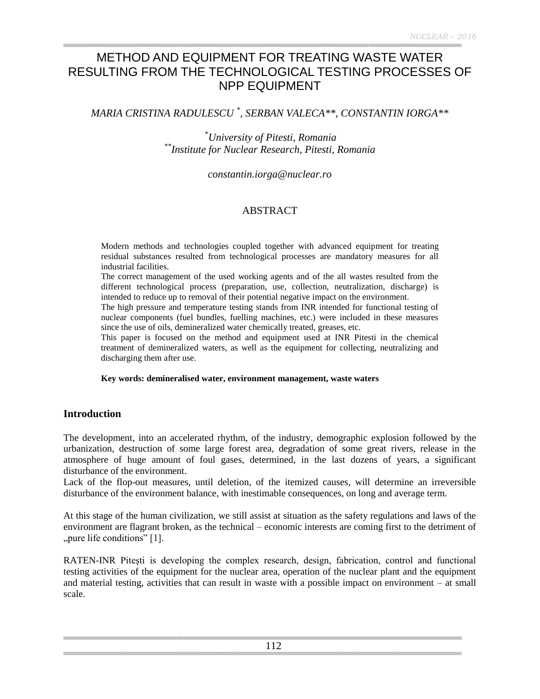# METHOD AND EQUIPMENT FOR TREATING WASTE WATER RESULTING FROM THE TECHNOLOGICAL TESTING PROCESSES OF NPP EQUIPMENT

*MARIA CRISTINA RADULESCU \* , SERBAN VALECA\*\*, CONSTANTIN IORGA\*\**

\**University of Pitesti, Romania \*\*Institute for Nuclear Research, Pitesti, Romania*

*constantin.iorga@nuclear.ro*

# ABSTRACT

Modern methods and technologies coupled together with advanced equipment for treating residual substances resulted from technological processes are mandatory measures for all industrial facilities.

The correct management of the used working agents and of the all wastes resulted from the different technological process (preparation, use, collection, neutralization, discharge) is intended to reduce up to removal of their potential negative impact on the environment.

The high pressure and temperature testing stands from INR intended for functional testing of nuclear components (fuel bundles, fuelling machines, etc.) were included in these measures since the use of oils, demineralized water chemically treated, greases, etc.

This paper is focused on the method and equipment used at INR Pitesti in the chemical treatment of demineralized waters, as well as the equipment for collecting, neutralizing and discharging them after use.

#### **Key words: demineralised water, environment management, waste waters**

#### **Introduction**

The development, into an accelerated rhythm, of the industry, demographic explosion followed by the urbanization, destruction of some large forest area, degradation of some great rivers, release in the atmosphere of huge amount of foul gases, determined, in the last dozens of years, a significant disturbance of the environment.

Lack of the flop-out measures, until deletion, of the itemized causes, will determine an irreversible disturbance of the environment balance, with inestimable consequences, on long and average term.

At this stage of the human civilization, we still assist at situation as the safety regulations and laws of the environment are flagrant broken, as the technical – economic interests are coming first to the detriment of "pure life conditions" [1].

RATEN-INR Piteşti is developing the complex research, design, fabrication, control and functional testing activities of the equipment for the nuclear area, operation of the nuclear plant and the equipment and material testing, activities that can result in waste with a possible impact on environment – at small scale.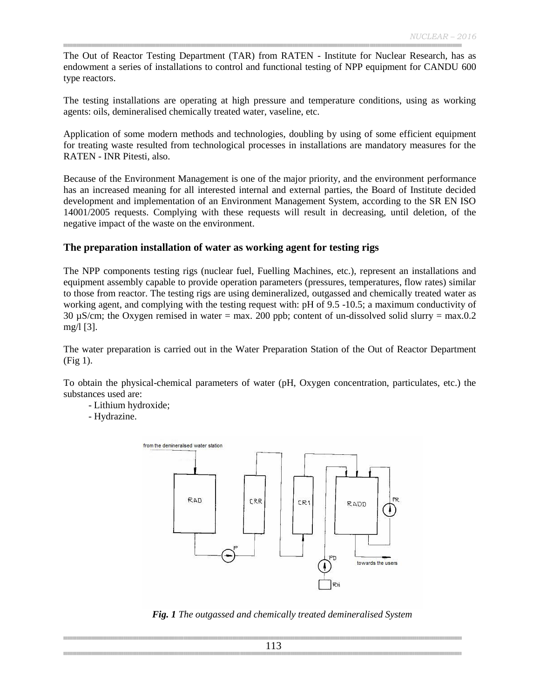The Out of Reactor Testing Department (TAR) from RATEN - Institute for Nuclear Research, has as endowment a series of installations to control and functional testing of NPP equipment for CANDU 600 type reactors.

The testing installations are operating at high pressure and temperature conditions, using as working agents: oils, demineralised chemically treated water, vaseline, etc.

Application of some modern methods and technologies, doubling by using of some efficient equipment for treating waste resulted from technological processes in installations are mandatory measures for the RATEN - INR Pitesti, also.

Because of the Environment Management is one of the major priority, and the environment performance has an increased meaning for all interested internal and external parties, the Board of Institute decided development and implementation of an Environment Management System, according to the SR EN ISO 14001/2005 requests. Complying with these requests will result in decreasing, until deletion, of the negative impact of the waste on the environment.

### **The preparation installation of water as working agent for testing rigs**

The NPP components testing rigs (nuclear fuel, Fuelling Machines, etc.), represent an installations and equipment assembly capable to provide operation parameters (pressures, temperatures, flow rates) similar to those from reactor. The testing rigs are using demineralized, outgassed and chemically treated water as working agent, and complying with the testing request with: pH of 9.5 -10.5; a maximum conductivity of 30  $\mu$ S/cm; the Oxygen remised in water = max. 200 ppb; content of un-dissolved solid slurry = max.0.2 mg/l [3].

The water preparation is carried out in the Water Preparation Station of the Out of Reactor Department (Fig 1).

To obtain the physical-chemical parameters of water (pH, Oxygen concentration, particulates, etc.) the substances used are:

- Lithium hydroxide;
- Hydrazine.



*Fig. 1 The outgassed and chemically treated demineralised System*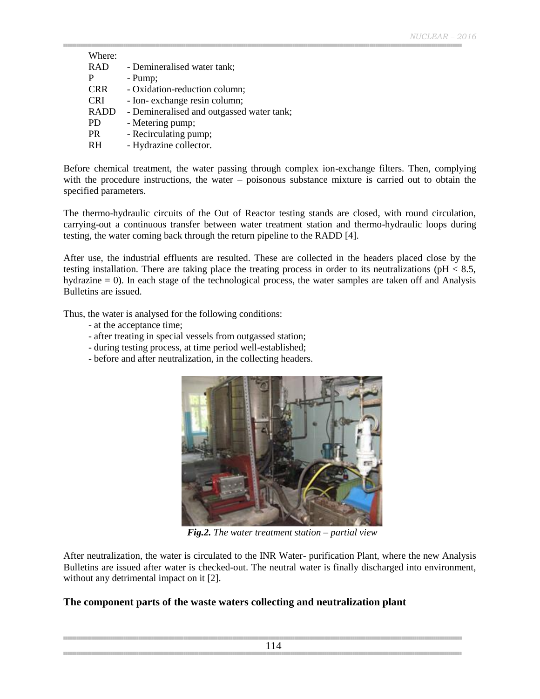| Where:      |                                           |
|-------------|-------------------------------------------|
| <b>RAD</b>  | - Demineralised water tank;               |
| P           | - Pump;                                   |
| <b>CRR</b>  | - Oxidation-reduction column;             |
| <b>CRI</b>  | - Ion- exchange resin column;             |
| <b>RADD</b> | - Demineralised and outgassed water tank; |
| <b>PD</b>   | - Metering pump;                          |
| <b>PR</b>   | - Recirculating pump;                     |
| <b>RH</b>   | - Hydrazine collector.                    |

Before chemical treatment, the water passing through complex ion-exchange filters. Then, complying with the procedure instructions, the water – poisonous substance mixture is carried out to obtain the specified parameters.

The thermo-hydraulic circuits of the Out of Reactor testing stands are closed, with round circulation, carrying-out a continuous transfer between water treatment station and thermo-hydraulic loops during testing, the water coming back through the return pipeline to the RADD [4].

After use, the industrial effluents are resulted. These are collected in the headers placed close by the testing installation. There are taking place the treating process in order to its neutralizations (pH < 8.5, hydrazine = 0). In each stage of the technological process, the water samples are taken off and Analysis Bulletins are issued.

Thus, the water is analysed for the following conditions:

- at the acceptance time;
- after treating in special vessels from outgassed station;
- during testing process, at time period well-established;
- before and after neutralization, in the collecting headers.



*Fig.2. The water treatment station – partial view*

After neutralization, the water is circulated to the INR Water- purification Plant, where the new Analysis Bulletins are issued after water is checked-out. The neutral water is finally discharged into environment, without any detrimental impact on it [2].

# **The component parts of the waste waters collecting and neutralization plant**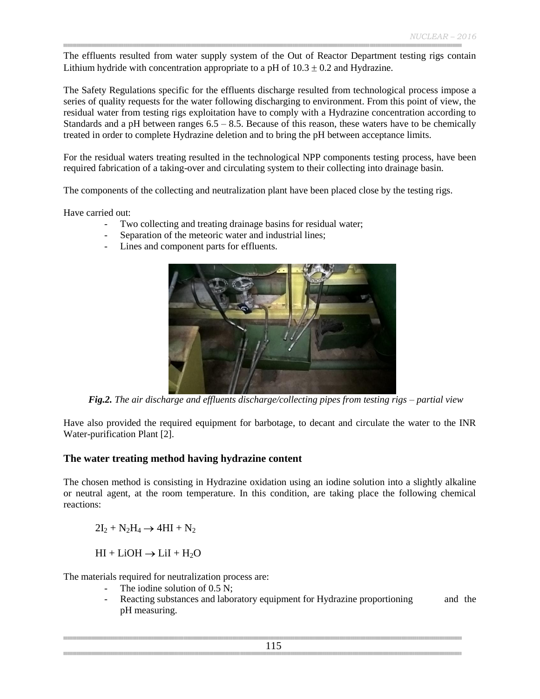The effluents resulted from water supply system of the Out of Reactor Department testing rigs contain Lithium hydride with concentration appropriate to a pH of  $10.3 \pm 0.2$  and Hydrazine.

The Safety Regulations specific for the effluents discharge resulted from technological process impose a series of quality requests for the water following discharging to environment. From this point of view, the residual water from testing rigs exploitation have to comply with a Hydrazine concentration according to Standards and a pH between ranges  $6.5 - 8.5$ . Because of this reason, these waters have to be chemically treated in order to complete Hydrazine deletion and to bring the pH between acceptance limits.

For the residual waters treating resulted in the technological NPP components testing process, have been required fabrication of a taking-over and circulating system to their collecting into drainage basin.

The components of the collecting and neutralization plant have been placed close by the testing rigs.

Have carried out:

- Two collecting and treating drainage basins for residual water;
- Separation of the meteoric water and industrial lines;
- Lines and component parts for effluents.



*Fig.2. The air discharge and effluents discharge/collecting pipes from testing rigs – partial view*

Have also provided the required equipment for barbotage, to decant and circulate the water to the INR Water-purification Plant [2].

#### **The water treating method having hydrazine content**

The chosen method is consisting in Hydrazine oxidation using an iodine solution into a slightly alkaline or neutral agent, at the room temperature. In this condition, are taking place the following chemical reactions:

 $2I_2 + N_2H_4 \rightarrow 4HI + N_2$ 

 $HI + LiOH \rightarrow LiI + H<sub>2</sub>O$ 

The materials required for neutralization process are:

- The iodine solution of  $0.5$  N;
- Reacting substances and laboratory equipment for Hydrazine proportioning and the pH measuring.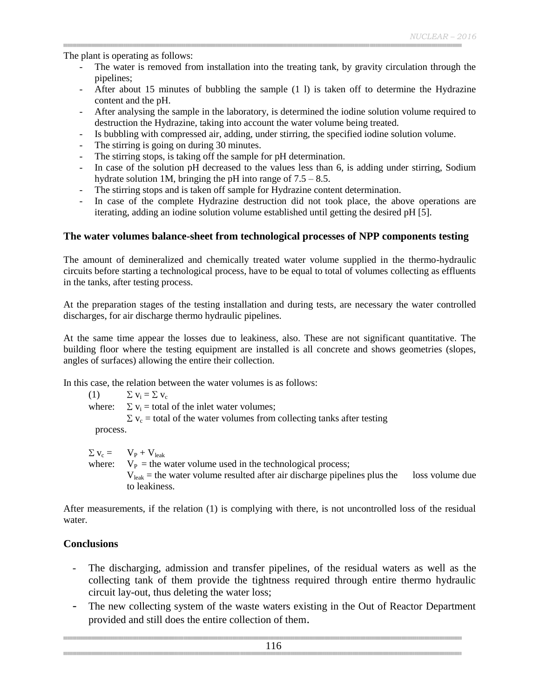The plant is operating as follows:

- The water is removed from installation into the treating tank, by gravity circulation through the pipelines;
- After about 15 minutes of bubbling the sample (1 l) is taken off to determine the Hydrazine content and the pH.
- After analysing the sample in the laboratory, is determined the iodine solution volume required to destruction the Hydrazine, taking into account the water volume being treated.
- Is bubbling with compressed air, adding, under stirring, the specified iodine solution volume.
- The stirring is going on during 30 minutes.
- The stirring stops, is taking off the sample for pH determination.
- In case of the solution pH decreased to the values less than 6, is adding under stirring, Sodium hydrate solution 1M, bringing the pH into range of  $7.5 - 8.5$ .
- The stirring stops and is taken off sample for Hydrazine content determination.
- In case of the complete Hydrazine destruction did not took place, the above operations are iterating, adding an iodine solution volume established until getting the desired pH [5].

### **The water volumes balance-sheet from technological processes of NPP components testing**

The amount of demineralized and chemically treated water volume supplied in the thermo-hydraulic circuits before starting a technological process, have to be equal to total of volumes collecting as effluents in the tanks, after testing process.

At the preparation stages of the testing installation and during tests, are necessary the water controlled discharges, for air discharge thermo hydraulic pipelines.

At the same time appear the losses due to leakiness, also. These are not significant quantitative. The building floor where the testing equipment are installed is all concrete and shows geometries (slopes, angles of surfaces) allowing the entire their collection.

In this case, the relation between the water volumes is as follows:

(1)  $\Sigma$   $v_i = \Sigma v_c$ where:  $\Sigma v_i =$  total of the inlet water volumes;  $\Sigma$  v<sub>c</sub> = total of the water volumes from collecting tanks after testing process.

 $\Sigma$   $V_c$  =  $V_p + V_{leak}$ where:  $V_P$  = the water volume used in the technological process;  $V_{\text{leak}}$  = the water volume resulted after air discharge pipelines plus the loss volume due to leakiness.

After measurements, if the relation (1) is complying with there, is not uncontrolled loss of the residual water.

# **Conclusions**

- The discharging, admission and transfer pipelines, of the residual waters as well as the collecting tank of them provide the tightness required through entire thermo hydraulic circuit lay-out, thus deleting the water loss;
- The new collecting system of the waste waters existing in the Out of Reactor Department provided and still does the entire collection of them.